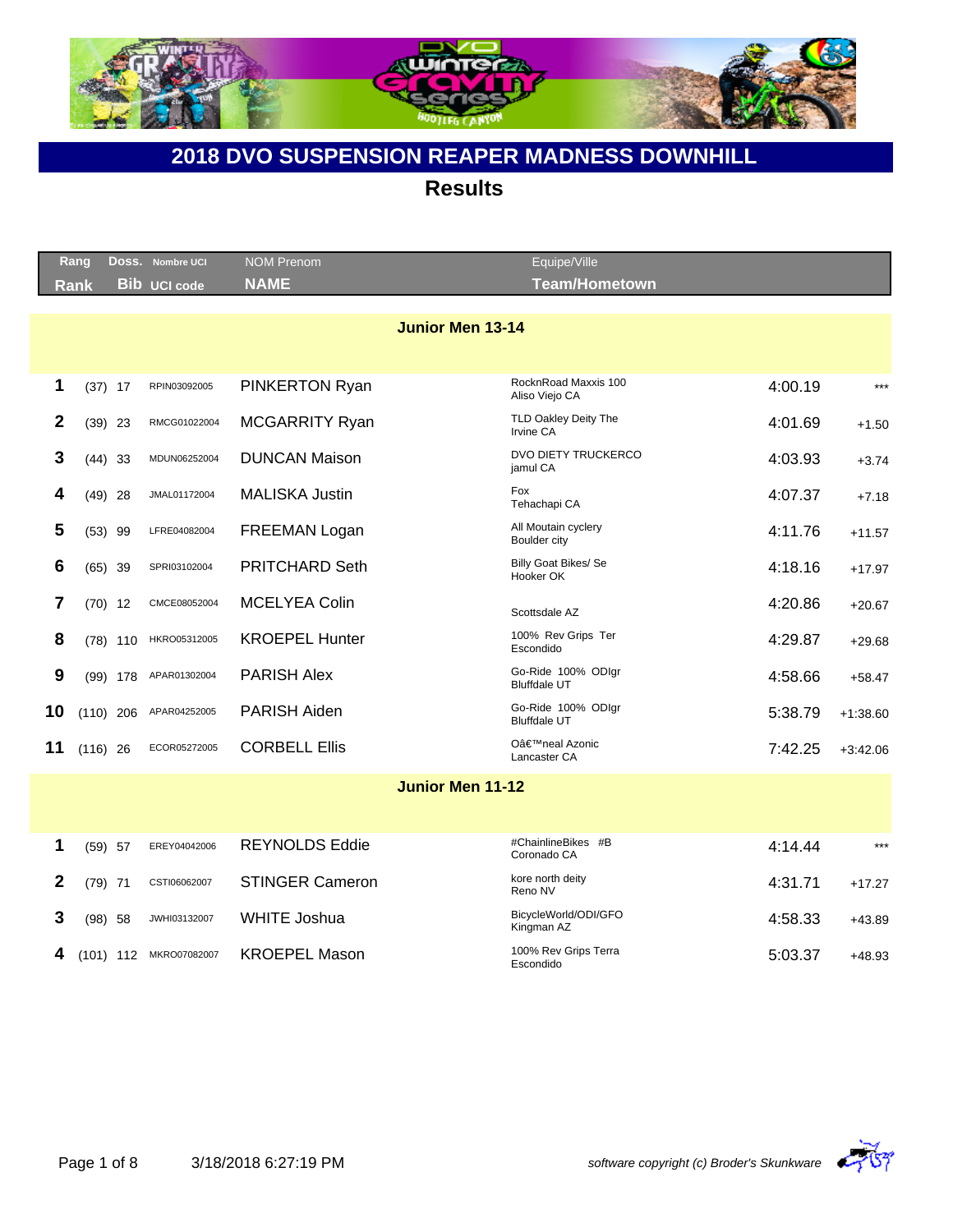

|    | Rang        |             | DOSS. Nombre UCI    | <b>NOM Prenom</b>     |                         | Equipe/Ville                               |         |            |
|----|-------------|-------------|---------------------|-----------------------|-------------------------|--------------------------------------------|---------|------------|
|    | <b>Rank</b> |             | <b>Bib UCI code</b> | <b>NAME</b>           |                         | <b>Team/Hometown</b>                       |         |            |
|    |             |             |                     |                       |                         |                                            |         |            |
|    |             |             |                     |                       | <b>Junior Men 13-14</b> |                                            |         |            |
|    |             |             |                     |                       |                         |                                            |         |            |
|    |             |             |                     |                       |                         | RocknRoad Maxxis 100                       |         |            |
| 1  |             | $(37)$ 17   | RPIN03092005        | PINKERTON Ryan        |                         | Aliso Viejo CA                             | 4:00.19 | $***$      |
| 2  |             | $(39)$ 23   | RMCG01022004        | <b>MCGARRITY Ryan</b> |                         | TLD Oakley Deity The<br>Irvine CA          | 4:01.69 | $+1.50$    |
| 3  |             | $(44)$ 33   | MDUN06252004        | <b>DUNCAN Maison</b>  |                         | DVO DIETY TRUCKERCO<br>jamul CA            | 4:03.93 | $+3.74$    |
| 4  |             | $(49)$ 28   | JMAL01172004        | <b>MALISKA Justin</b> |                         | Fox<br>Tehachapi CA                        | 4:07.37 | $+7.18$    |
| 5  |             | $(53)$ 99   | LFRE04082004        | FREEMAN Logan         |                         | All Moutain cyclery<br><b>Boulder city</b> | 4:11.76 | $+11.57$   |
| 6  |             | $(65)$ 39   | SPRI03102004        | <b>PRITCHARD Seth</b> |                         | Billy Goat Bikes/ Se<br>Hooker OK          | 4:18.16 | $+17.97$   |
| 7  |             | $(70)$ 12   | CMCE08052004        | <b>MCELYEA Colin</b>  |                         | Scottsdale AZ                              | 4:20.86 | $+20.67$   |
| 8  |             | $(78)$ 110  | HKRO05312005        | <b>KROEPEL Hunter</b> |                         | 100% Rev Grips Ter<br>Escondido            | 4:29.87 | $+29.68$   |
| 9  |             | $(99)$ 178  | APAR01302004        | <b>PARISH Alex</b>    |                         | Go-Ride 100% ODIgr<br><b>Bluffdale UT</b>  | 4:58.66 | $+58.47$   |
| 10 |             | $(110)$ 206 | APAR04252005        | <b>PARISH Aiden</b>   |                         | Go-Ride 100% ODIgr<br><b>Bluffdale UT</b>  | 5:38.79 | $+1:38.60$ |
| 11 | $(116)$ 26  |             | ECOR05272005        | <b>CORBELL Ellis</b>  |                         | O'neal Azonic<br>Lancaster CA              | 7:42.25 | $+3:42.06$ |
|    |             |             |                     |                       | <b>Junior Men 11-12</b> |                                            |         |            |
|    |             |             |                     |                       |                         |                                            |         |            |

|   | (59)<br>- 57 | EREY04042006 | REYNOLDS Eddie         | #ChainlineBikes #B<br>Coronado CA  | 4:14.44 | $***$    |
|---|--------------|--------------|------------------------|------------------------------------|---------|----------|
|   | (79)<br>71   | CSTI06062007 | <b>STINGER Cameron</b> | kore north deity<br>Reno NV        | 4:31.71 | $+17.27$ |
|   | (98)<br>58   | JWHI03132007 | WHITE Joshua           | BicycleWorld/ODI/GFO<br>Kingman AZ | 4:58.33 | $+43.89$ |
| 4 | (101)<br>112 | MKRO07082007 | <b>KROEPEL Mason</b>   | 100% Rev Grips Terra<br>Escondido  | 5:03.37 | $+48.93$ |

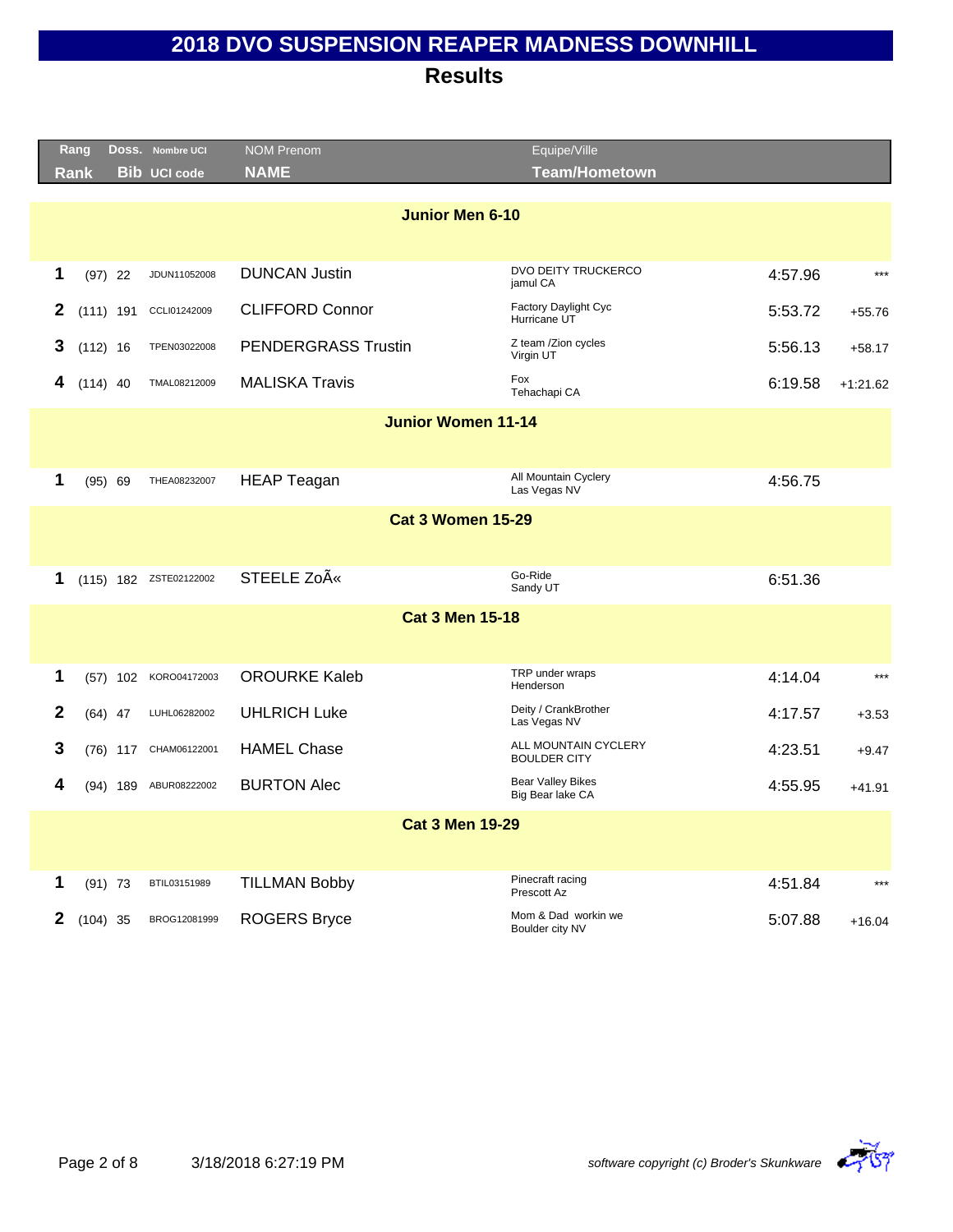|              | Rang       |             | Doss. Nombre UCI       | <b>NOM Prenom</b>          | Equipe/Ville                                 |         |            |
|--------------|------------|-------------|------------------------|----------------------------|----------------------------------------------|---------|------------|
|              | Rank       |             | <b>Bib UCI code</b>    | <b>NAME</b>                | <b>Team/Hometown</b>                         |         |            |
|              |            |             |                        |                            |                                              |         |            |
|              |            |             |                        | Junior Men 6-10            |                                              |         |            |
|              |            |             |                        |                            |                                              |         |            |
| 1            |            | $(97)$ 22   | JDUN11052008           | <b>DUNCAN Justin</b>       | DVO DEITY TRUCKERCO<br>jamul CA              | 4:57.96 | $***$      |
| 2            |            | $(111)$ 191 | CCLI01242009           | <b>CLIFFORD Connor</b>     | Factory Daylight Cyc<br>Hurricane UT         | 5:53.72 | $+55.76$   |
| 3            | $(112)$ 16 |             | TPEN03022008           | <b>PENDERGRASS Trustin</b> | Z team /Zion cycles<br>Virgin UT             | 5:56.13 | $+58.17$   |
| 4            | $(114)$ 40 |             | TMAL08212009           | <b>MALISKA Travis</b>      | Fox<br>Tehachapi CA                          | 6:19.58 | $+1:21.62$ |
|              |            |             |                        | <b>Junior Women 11-14</b>  |                                              |         |            |
|              |            |             |                        |                            |                                              |         |            |
|              |            |             |                        |                            | All Mountain Cyclery                         |         |            |
| 1            |            | (95) 69     | THEA08232007           | <b>HEAP Teagan</b>         | Las Vegas NV                                 | 4:56.75 |            |
|              |            |             |                        | <b>Cat 3 Women 15-29</b>   |                                              |         |            |
|              |            |             |                        |                            |                                              |         |            |
|              |            |             |                        |                            | Go-Ride                                      |         |            |
| 1            |            |             | (115) 182 ZSTE02122002 | STEELE Zoë                 | Sandy UT                                     | 6:51.36 |            |
|              |            |             |                        | <b>Cat 3 Men 15-18</b>     |                                              |         |            |
|              |            |             |                        |                            |                                              |         |            |
|              |            |             |                        |                            |                                              |         |            |
| 1            |            | $(57)$ 102  | KORO04172003           | <b>OROURKE Kaleb</b>       | TRP under wraps<br>Henderson                 | 4:14.04 | $***$      |
| $\mathbf{2}$ |            | $(64)$ 47   | LUHL06282002           | <b>UHLRICH Luke</b>        | Deity / CrankBrother<br>Las Vegas NV         | 4:17.57 | $+3.53$    |
| 3            |            | $(76)$ 117  | CHAM06122001           | <b>HAMEL Chase</b>         | ALL MOUNTAIN CYCLERY<br><b>BOULDER CITY</b>  | 4:23.51 | $+9.47$    |
| 4            |            | $(94)$ 189  | ABUR08222002           | <b>BURTON Alec</b>         | <b>Bear Valley Bikes</b><br>Big Bear lake CA | 4:55.95 | $+41.91$   |
|              |            |             |                        | <b>Cat 3 Men 19-29</b>     |                                              |         |            |
|              |            |             |                        |                            |                                              |         |            |
|              |            |             |                        |                            |                                              |         |            |
| 1            |            | $(91)$ 73   | BTIL03151989           | <b>TILLMAN Bobby</b>       | Pinecraft racing<br>Prescott Az              | 4:51.84 | ***        |
| 2            | $(104)$ 35 |             | BROG12081999           | <b>ROGERS Bryce</b>        | Mom & Dad workin we<br>Boulder city NV       | 5:07.88 | $+16.04$   |

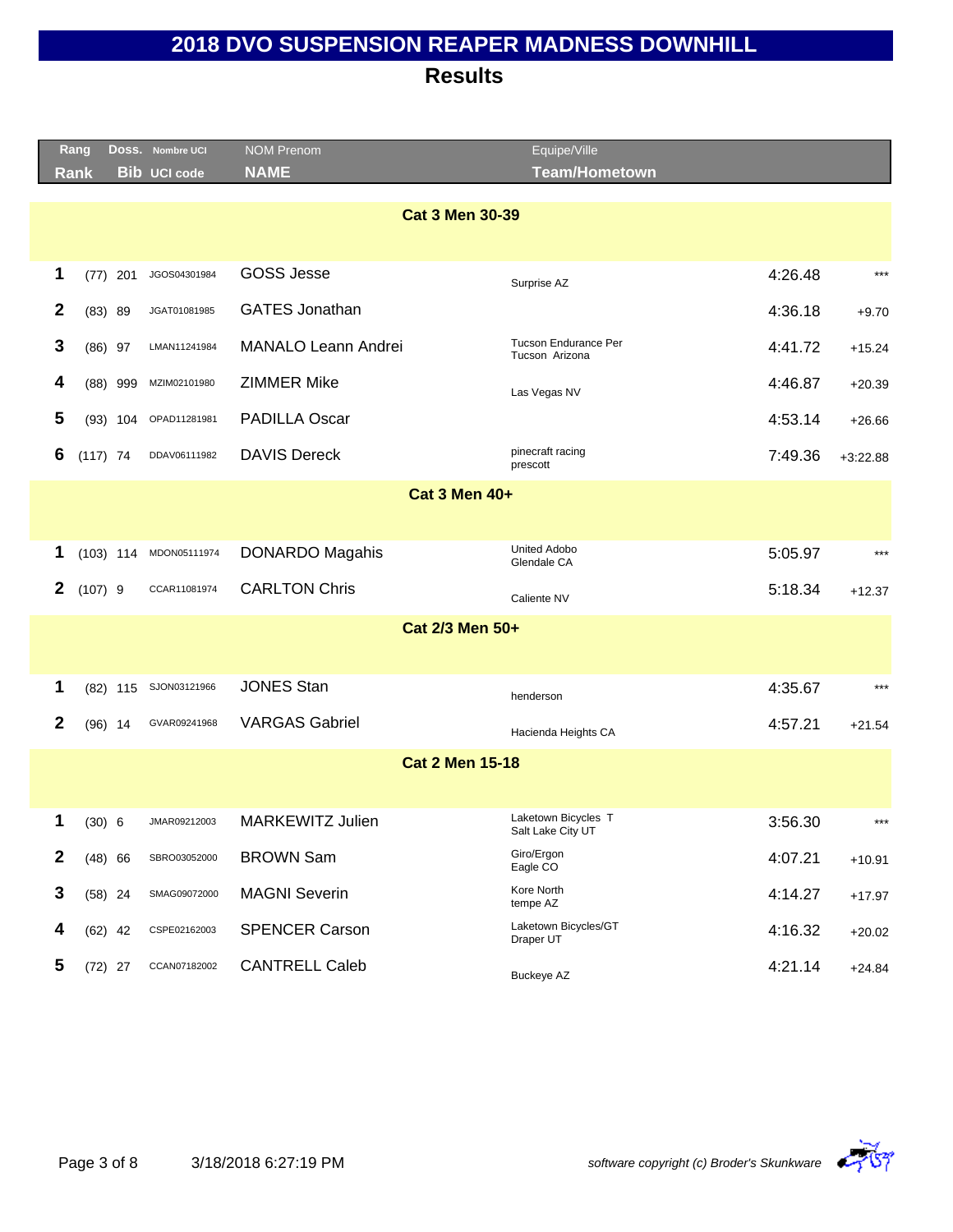|                        | Rang        |     | Doss. Nombre UCI    | <b>NOM Prenom</b>          | Equipe/Ville                             |         |            |  |  |  |  |
|------------------------|-------------|-----|---------------------|----------------------------|------------------------------------------|---------|------------|--|--|--|--|
|                        | <b>Rank</b> |     | <b>Bib UCI code</b> | <b>NAME</b>                | <b>Team/Hometown</b>                     |         |            |  |  |  |  |
| <b>Cat 3 Men 30-39</b> |             |     |                     |                            |                                          |         |            |  |  |  |  |
| 1                      | $(77)$ 201  |     | JGOS04301984        | <b>GOSS Jesse</b>          | Surprise AZ                              | 4:26.48 | $***$      |  |  |  |  |
| 2                      | (83) 89     |     | JGAT01081985        | <b>GATES Jonathan</b>      |                                          | 4:36.18 | $+9.70$    |  |  |  |  |
| 3                      | $(86)$ 97   |     | LMAN11241984        | <b>MANALO Leann Andrei</b> | Tucson Endurance Per<br>Tucson Arizona   | 4:41.72 | $+15.24$   |  |  |  |  |
| 4                      | $(88)$ 999  |     | MZIM02101980        | <b>ZIMMER Mike</b>         | Las Vegas NV                             | 4:46.87 | $+20.39$   |  |  |  |  |
| 5                      | $(93)$ 104  |     | OPAD11281981        | <b>PADILLA Oscar</b>       |                                          | 4:53.14 | $+26.66$   |  |  |  |  |
| 6                      | $(117)$ 74  |     | DDAV06111982        | <b>DAVIS Dereck</b>        | pinecraft racing<br>prescott             | 7:49.36 | $+3:22.88$ |  |  |  |  |
|                        |             |     |                     | <b>Cat 3 Men 40+</b>       |                                          |         |            |  |  |  |  |
|                        |             |     |                     |                            |                                          |         |            |  |  |  |  |
| 1                      | $(103)$ 114 |     | MDON05111974        | DONARDO Magahis            | <b>United Adobo</b><br>Glendale CA       | 5:05.97 | $***$      |  |  |  |  |
| 2                      | $(107)$ 9   |     | CCAR11081974        | <b>CARLTON Chris</b>       | Caliente NV                              | 5:18.34 | $+12.37$   |  |  |  |  |
|                        |             |     |                     | Cat 2/3 Men 50+            |                                          |         |            |  |  |  |  |
|                        |             |     |                     |                            |                                          |         |            |  |  |  |  |
| 1                      | (82)        | 115 | SJON03121966        | <b>JONES Stan</b>          | henderson                                | 4:35.67 | $***$      |  |  |  |  |
| $\mathbf{2}$           | $(96)$ 14   |     | GVAR09241968        | <b>VARGAS Gabriel</b>      | Hacienda Heights CA                      | 4:57.21 | $+21.54$   |  |  |  |  |
|                        |             |     |                     | <b>Cat 2 Men 15-18</b>     |                                          |         |            |  |  |  |  |
|                        |             |     |                     |                            |                                          |         |            |  |  |  |  |
| 1                      | (30) 6      |     | JMAR09212003        | <b>MARKEWITZ Julien</b>    | Laketown Bicycles T<br>Salt Lake City UT | 3:56.30 | $***$      |  |  |  |  |
| $\mathbf{2}$           | $(48)$ 66   |     | SBRO03052000        | <b>BROWN Sam</b>           | Giro/Ergon<br>Eagle CO                   | 4:07.21 | $+10.91$   |  |  |  |  |
| 3                      | $(58)$ 24   |     | SMAG09072000        | <b>MAGNI Severin</b>       | Kore North<br>tempe AZ                   | 4:14.27 | $+17.97$   |  |  |  |  |
| 4                      | $(62)$ 42   |     | CSPE02162003        | <b>SPENCER Carson</b>      | Laketown Bicycles/GT<br>Draper UT        | 4:16.32 | $+20.02$   |  |  |  |  |
| 5                      | $(72)$ 27   |     | CCAN07182002        | <b>CANTRELL Caleb</b>      | <b>Buckeye AZ</b>                        | 4:21.14 | $+24.84$   |  |  |  |  |

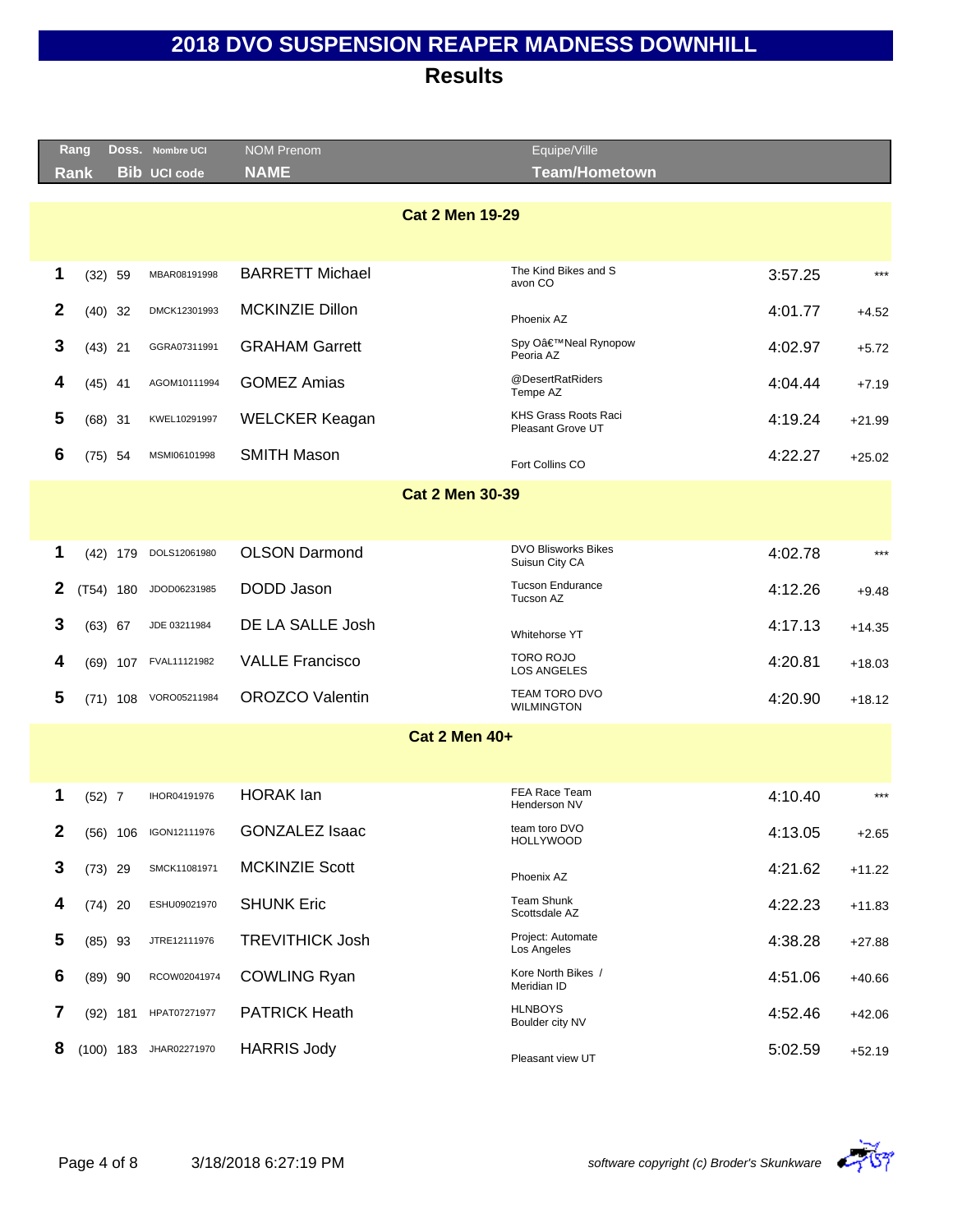|                        | Rang                 |             | DOSS. Nombre UCI      | <b>NOM Prenom</b>      | Equipe/Ville                                 |         |          |  |  |  |  |  |
|------------------------|----------------------|-------------|-----------------------|------------------------|----------------------------------------------|---------|----------|--|--|--|--|--|
|                        | Rank                 |             | <b>Bib UCI code</b>   | <b>NAME</b>            | <b>Team/Hometown</b>                         |         |          |  |  |  |  |  |
|                        |                      |             |                       | <b>Cat 2 Men 19-29</b> |                                              |         |          |  |  |  |  |  |
| 1                      |                      | $(32)$ 59   | MBAR08191998          | <b>BARRETT Michael</b> | The Kind Bikes and S<br>avon CO              | 3:57.25 | $***$    |  |  |  |  |  |
| 2                      |                      | $(40)$ 32   | DMCK12301993          | MCKINZIE Dillon        | Phoenix AZ                                   | 4:01.77 | $+4.52$  |  |  |  |  |  |
| 3                      |                      | $(43)$ 21   | GGRA07311991          | <b>GRAHAM Garrett</b>  | Spy O'Neal Rynopow<br>Peoria AZ              | 4:02.97 | $+5.72$  |  |  |  |  |  |
| 4                      |                      | $(45)$ 41   | AGOM10111994          | <b>GOMEZ Amias</b>     | @DesertRatRiders<br>Tempe AZ                 | 4:04.44 | $+7.19$  |  |  |  |  |  |
| 5                      |                      | $(68)$ 31   | KWEL10291997          | <b>WELCKER Keagan</b>  | KHS Grass Roots Raci<br>Pleasant Grove UT    | 4:19.24 | $+21.99$ |  |  |  |  |  |
| 6                      |                      | $(75)$ 54   | MSMI06101998          | <b>SMITH Mason</b>     | Fort Collins CO                              | 4:22.27 | $+25.02$ |  |  |  |  |  |
| <b>Cat 2 Men 30-39</b> |                      |             |                       |                        |                                              |         |          |  |  |  |  |  |
|                        |                      |             |                       |                        |                                              |         |          |  |  |  |  |  |
| 1                      |                      | $(42)$ 179  | DOLS12061980          | <b>OLSON Darmond</b>   | <b>DVO Blisworks Bikes</b><br>Suisun City CA | 4:02.78 | $***$    |  |  |  |  |  |
| 2                      |                      | (T54) 180   | JDOD06231985          | DODD Jason             | <b>Tucson Endurance</b><br>Tucson AZ         | 4:12.26 | $+9.48$  |  |  |  |  |  |
| 3                      |                      | $(63)$ 67   | JDE 03211984          | DE LA SALLE Josh       | Whitehorse YT                                | 4:17.13 | $+14.35$ |  |  |  |  |  |
| 4                      |                      |             | (69) 107 FVAL11121982 | <b>VALLE Francisco</b> | <b>TORO ROJO</b><br><b>LOS ANGELES</b>       | 4:20.81 | $+18.03$ |  |  |  |  |  |
| 5                      |                      |             | (71) 108 VORO05211984 | <b>OROZCO Valentin</b> | TEAM TORO DVO<br><b>WILMINGTON</b>           | 4:20.90 | $+18.12$ |  |  |  |  |  |
|                        | <b>Cat 2 Men 40+</b> |             |                       |                        |                                              |         |          |  |  |  |  |  |
|                        |                      |             |                       |                        |                                              |         |          |  |  |  |  |  |
| 1                      | $(52)$ 7             |             | IHOR04191976          | <b>HORAK</b> lan       | <b>FEA Race Team</b><br>Henderson NV         | 4:10.40 | $***$    |  |  |  |  |  |
| 2                      |                      | $(56)$ 106  | IGON12111976          | <b>GONZALEZ Isaac</b>  | team toro DVO<br><b>HOLLYWOOD</b>            | 4:13.05 | $+2.65$  |  |  |  |  |  |
| 3                      |                      | $(73)$ 29   | SMCK11081971          | <b>MCKINZIE Scott</b>  | Phoenix AZ                                   | 4:21.62 | $+11.22$ |  |  |  |  |  |
| 4                      |                      | $(74)$ 20   | ESHU09021970          | <b>SHUNK Eric</b>      | <b>Team Shunk</b><br>Scottsdale AZ           | 4:22.23 | $+11.83$ |  |  |  |  |  |
| 5                      |                      | $(85)$ 93   | JTRE12111976          | <b>TREVITHICK Josh</b> | Project: Automate<br>Los Angeles             | 4:38.28 | $+27.88$ |  |  |  |  |  |
| 6                      |                      | $(89)$ 90   | RCOW02041974          | <b>COWLING Ryan</b>    | Kore North Bikes /<br>Meridian ID            | 4:51.06 | $+40.66$ |  |  |  |  |  |
| 7                      |                      | $(92)$ 181  | HPAT07271977          | <b>PATRICK Heath</b>   | <b>HLNBOYS</b><br>Boulder city NV            | 4:52.46 | $+42.06$ |  |  |  |  |  |
| 8                      |                      | $(100)$ 183 | JHAR02271970          | <b>HARRIS Jody</b>     | Pleasant view UT                             | 5:02.59 | $+52.19$ |  |  |  |  |  |

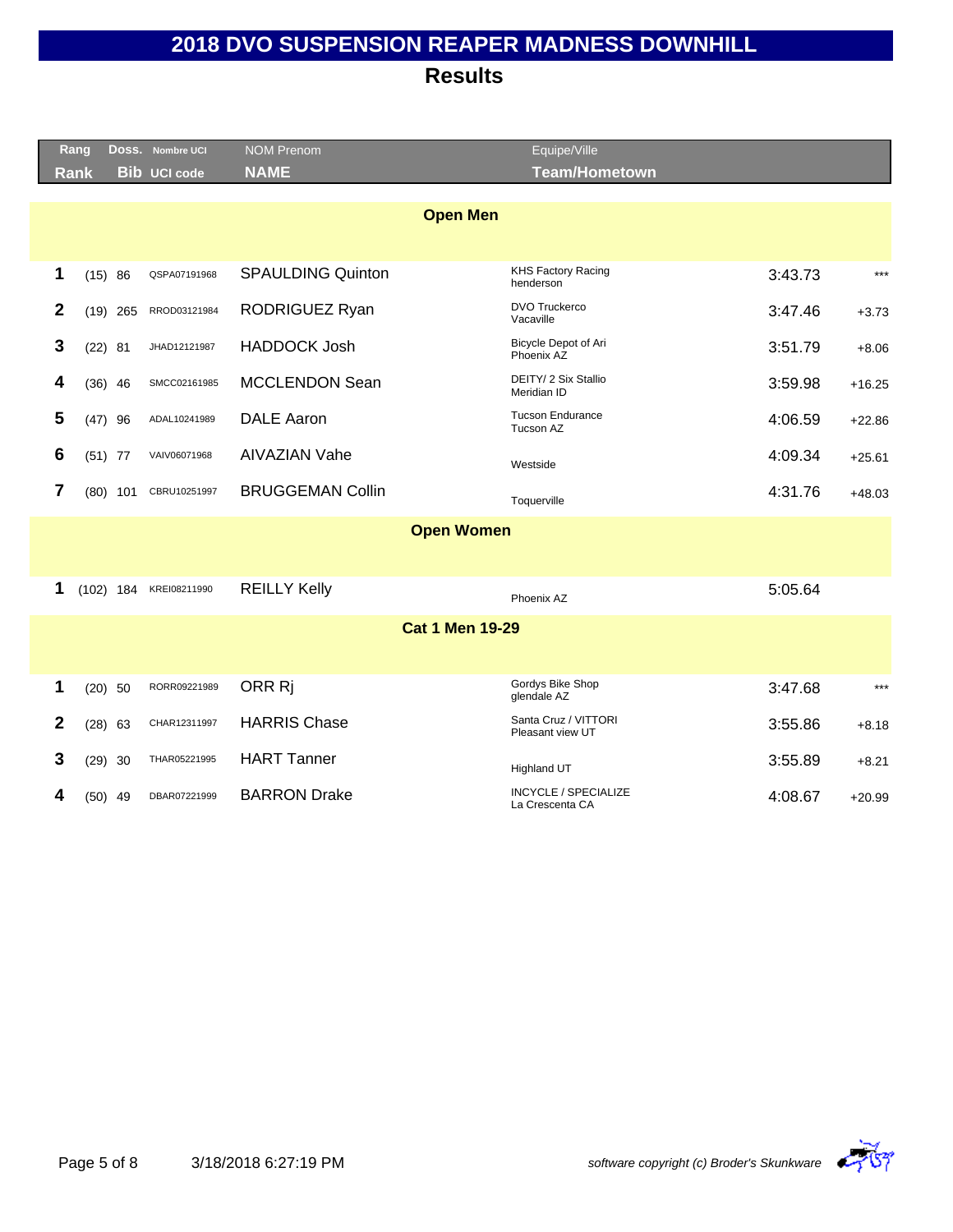| $***$    |         | <b>Team/Hometown</b>                           |                          |                     |            |             |                |
|----------|---------|------------------------------------------------|--------------------------|---------------------|------------|-------------|----------------|
|          |         |                                                | <b>NAME</b>              | <b>Bib UCI code</b> |            | <b>Rank</b> |                |
|          |         | <b>Open Men</b>                                |                          |                     |            |             |                |
|          | 3:43.73 | <b>KHS Factory Racing</b><br>henderson         | <b>SPAULDING Quinton</b> | QSPA07191968        |            | (15) 86     | 1              |
| $+3.73$  | 3:47.46 | <b>DVO Truckerco</b><br>Vacaville              | RODRIGUEZ Ryan           | RROD03121984        | $(19)$ 265 |             | $\mathbf{2}$   |
| $+8.06$  | 3:51.79 | Bicycle Depot of Ari<br>Phoenix AZ             | <b>HADDOCK Josh</b>      | JHAD12121987        |            | $(22)$ 81   | 3              |
| $+16.25$ | 3:59.98 | DEITY/ 2 Six Stallio<br>Meridian ID            | MCCLENDON Sean           | SMCC02161985        |            | $(36)$ 46   | 4              |
| $+22.86$ | 4:06.59 | <b>Tucson Endurance</b><br>Tucson AZ           | <b>DALE Aaron</b>        | ADAL10241989        |            | $(47)$ 96   | 5              |
| $+25.61$ | 4:09.34 | Westside                                       | <b>AIVAZIAN Vahe</b>     | VAIV06071968        |            | $(51)$ 77   | 6              |
| $+48.03$ | 4:31.76 | Toquerville                                    | <b>BRUGGEMAN Collin</b>  | CBRU10251997        | $(80)$ 101 |             | $\overline{7}$ |
|          |         | <b>Open Women</b>                              |                          |                     |            |             |                |
|          |         |                                                |                          |                     |            |             |                |
|          | 5:05.64 | Phoenix AZ                                     | <b>REILLY Kelly</b>      | KREI08211990        |            | $(102)$ 184 | 1              |
|          |         | <b>Cat 1 Men 19-29</b>                         |                          |                     |            |             |                |
|          |         |                                                |                          |                     |            |             |                |
| $***$    | 3:47.68 | Gordys Bike Shop<br>glendale AZ                | ORR Ri                   | RORR09221989        |            | $(20)$ 50   | 1              |
| $+8.18$  | 3:55.86 | Santa Cruz / VITTORI<br>Pleasant view UT       | <b>HARRIS Chase</b>      | CHAR12311997        |            | $(28)$ 63   | $\mathbf{2}$   |
| $+8.21$  | 3:55.89 | <b>Highland UT</b>                             | <b>HART Tanner</b>       | THAR05221995        |            | $(29)$ 30   | 3              |
| $+20.99$ | 4:08.67 | <b>INCYCLE / SPECIALIZE</b><br>La Crescenta CA | <b>BARRON Drake</b>      | DBAR07221999        |            | $(50)$ 49   |                |
|          |         |                                                |                          |                     |            |             |                |

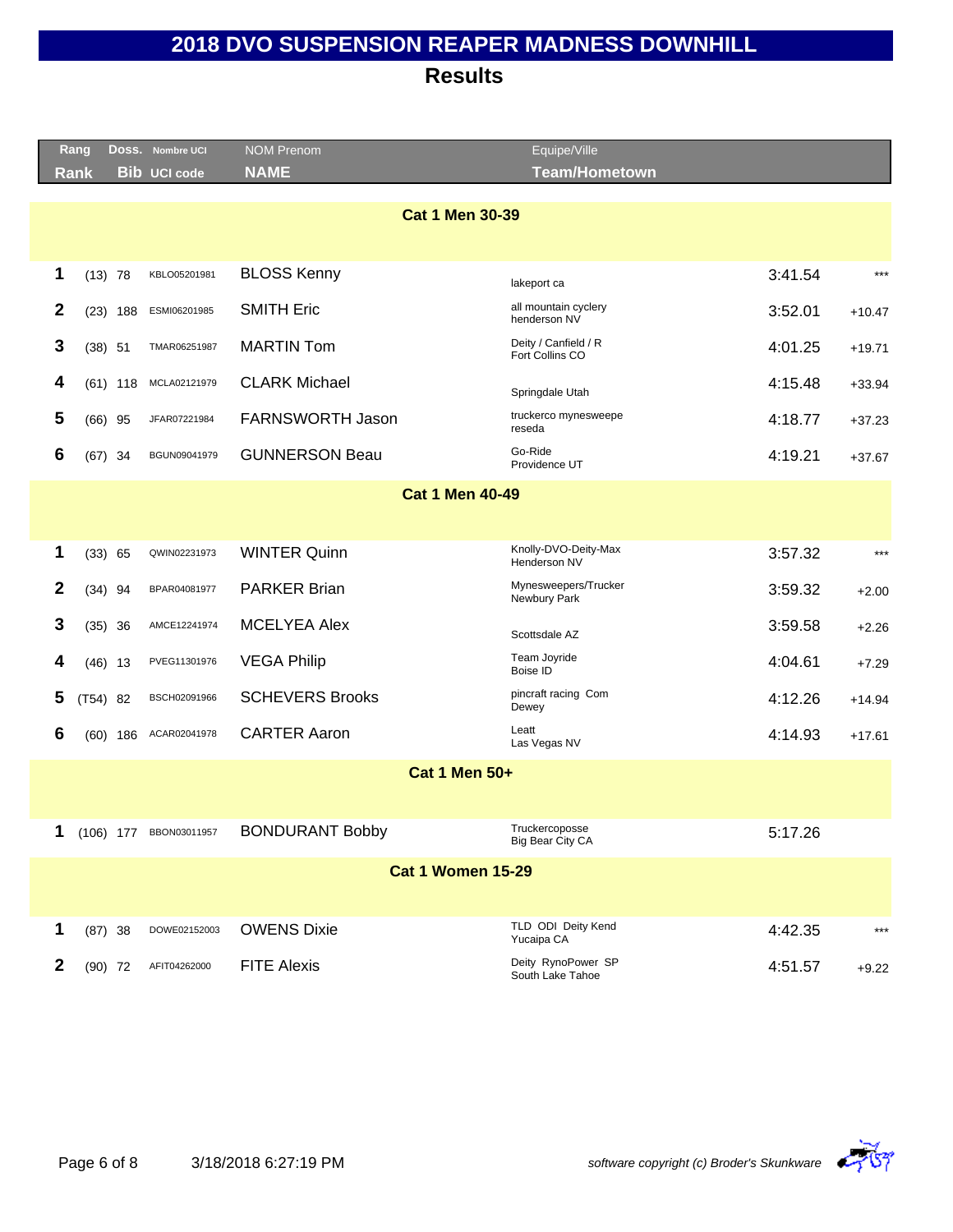|                        | Rang        |            | DOSS. Nombre UCI       | <b>NOM Prenom</b>        | Equipe/Ville                            |         |          |  |  |  |  |
|------------------------|-------------|------------|------------------------|--------------------------|-----------------------------------------|---------|----------|--|--|--|--|
|                        | <b>Rank</b> |            | <b>Bib UCI code</b>    | <b>NAME</b>              | <b>Team/Hometown</b>                    |         |          |  |  |  |  |
| <b>Cat 1 Men 30-39</b> |             |            |                        |                          |                                         |         |          |  |  |  |  |
|                        |             |            |                        |                          |                                         |         |          |  |  |  |  |
| 1                      | $(13)$ 78   |            | KBLO05201981           | <b>BLOSS Kenny</b>       |                                         | 3:41.54 | $***$    |  |  |  |  |
|                        |             |            |                        |                          | lakeport ca                             |         |          |  |  |  |  |
| 2                      | (23)        | 188        | ESMI06201985           | <b>SMITH Eric</b>        | all mountain cyclery<br>henderson NV    | 3:52.01 | $+10.47$ |  |  |  |  |
| 3                      | $(38)$ 51   |            | TMAR06251987           | <b>MARTIN Tom</b>        | Deity / Canfield / R<br>Fort Collins CO | 4:01.25 | $+19.71$ |  |  |  |  |
| 4                      |             | $(61)$ 118 | MCLA02121979           | <b>CLARK Michael</b>     | Springdale Utah                         | 4:15.48 | $+33.94$ |  |  |  |  |
| 5                      | $(66)$ 95   |            | JFAR07221984           | FARNSWORTH Jason         | truckerco mynesweepe<br>reseda          | 4:18.77 | $+37.23$ |  |  |  |  |
| 6                      | $(67)$ 34   |            | BGUN09041979           | <b>GUNNERSON Beau</b>    | Go-Ride<br>Providence UT                | 4:19.21 | $+37.67$ |  |  |  |  |
| <b>Cat 1 Men 40-49</b> |             |            |                        |                          |                                         |         |          |  |  |  |  |
|                        |             |            |                        |                          |                                         |         |          |  |  |  |  |
| 1                      | (33) 65     |            | QWIN02231973           | <b>WINTER Quinn</b>      | Knolly-DVO-Deity-Max<br>Henderson NV    | 3:57.32 | $***$    |  |  |  |  |
| $\mathbf{2}$           | $(34)$ 94   |            | BPAR04081977           | <b>PARKER Brian</b>      | Mynesweepers/Trucker<br>Newbury Park    | 3:59.32 | $+2.00$  |  |  |  |  |
| 3                      | (35)        | 36         | AMCE12241974           | <b>MCELYEA Alex</b>      | Scottsdale AZ                           | 3:59.58 | $+2.26$  |  |  |  |  |
| 4                      | $(46)$ 13   |            | PVEG11301976           | <b>VEGA Philip</b>       | Team Joyride<br>Boise ID                | 4:04.61 | $+7.29$  |  |  |  |  |
| 5                      | $(T54)$ 82  |            | BSCH02091966           | <b>SCHEVERS Brooks</b>   | pincraft racing Com<br>Dewey            | 4:12.26 | $+14.94$ |  |  |  |  |
| 6                      |             | $(60)$ 186 | ACAR02041978           | <b>CARTER Aaron</b>      | Leatt<br>Las Vegas NV                   | 4:14.93 | $+17.61$ |  |  |  |  |
|                        |             |            |                        | <b>Cat 1 Men 50+</b>     |                                         |         |          |  |  |  |  |
|                        |             |            |                        |                          |                                         |         |          |  |  |  |  |
| 1                      |             |            | (106) 177 BBON03011957 | <b>BONDURANT Bobby</b>   | Truckercoposse<br>Big Bear City CA      | 5:17.26 |          |  |  |  |  |
|                        |             |            |                        | <b>Cat 1 Women 15-29</b> |                                         |         |          |  |  |  |  |
|                        |             |            |                        |                          |                                         |         |          |  |  |  |  |
| 1                      | $(87)$ 38   |            | DOWE02152003           | <b>OWENS Dixie</b>       | TLD ODI Deity Kend<br>Yucaipa CA        | 4:42.35 | $***$    |  |  |  |  |
| $\boldsymbol{2}$       | $(90)$ 72   |            | AFIT04262000           | <b>FITE Alexis</b>       | Deity RynoPower SP<br>South Lake Tahoe  | 4:51.57 | $+9.22$  |  |  |  |  |

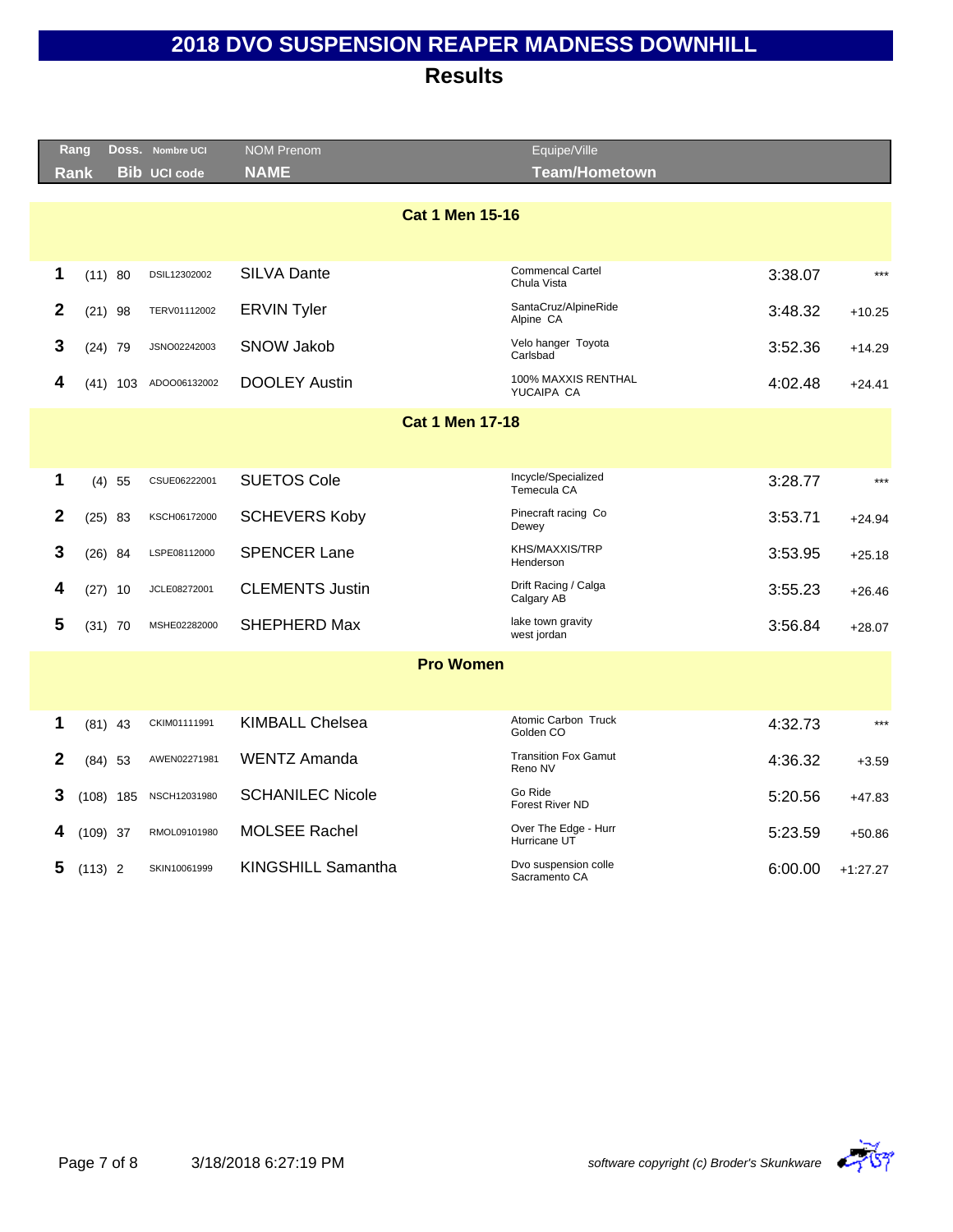|                        | Rang        |             | Doss. Nombre UCI    | <b>NOM Prenom</b>       | Equipe/Ville                            |         |            |  |  |
|------------------------|-------------|-------------|---------------------|-------------------------|-----------------------------------------|---------|------------|--|--|
|                        | <b>Rank</b> |             | <b>Bib UCI code</b> | <b>NAME</b>             | Team/Hometown                           |         |            |  |  |
|                        |             |             |                     |                         |                                         |         |            |  |  |
|                        |             |             |                     | <b>Cat 1 Men 15-16</b>  |                                         |         |            |  |  |
|                        |             |             |                     |                         |                                         |         |            |  |  |
| 1                      |             | (11) 80     | DSIL12302002        | <b>SILVA Dante</b>      | <b>Commencal Cartel</b><br>Chula Vista  | 3:38.07 | $***$      |  |  |
| $\mathbf{2}$           |             | $(21)$ 98   | TERV01112002        | <b>ERVIN Tyler</b>      | SantaCruz/AlpineRide<br>Alpine CA       | 3:48.32 | $+10.25$   |  |  |
| 3                      |             | $(24)$ 79   | JSNO02242003        | <b>SNOW Jakob</b>       | Velo hanger Toyota<br>Carlsbad          | 3:52.36 | $+14.29$   |  |  |
| 4                      |             | $(41)$ 103  | ADOO06132002        | <b>DOOLEY Austin</b>    | 100% MAXXIS RENTHAL<br>YUCAIPA CA       | 4:02.48 | $+24.41$   |  |  |
| <b>Cat 1 Men 17-18</b> |             |             |                     |                         |                                         |         |            |  |  |
|                        |             |             |                     |                         |                                         |         |            |  |  |
|                        |             |             |                     |                         | Incycle/Specialized                     |         |            |  |  |
| 1                      |             | $(4)$ 55    | CSUE06222001        | <b>SUETOS Cole</b>      | Temecula CA                             | 3:28.77 | $***$      |  |  |
| $\mathbf{2}$           |             | $(25)$ 83   | KSCH06172000        | <b>SCHEVERS Koby</b>    | Pinecraft racing Co<br>Dewey            | 3:53.71 | $+24.94$   |  |  |
| 3                      |             | $(26)$ 84   | LSPE08112000        | <b>SPENCER Lane</b>     | KHS/MAXXIS/TRP<br>Henderson             | 3:53.95 | $+25.18$   |  |  |
| 4                      |             | $(27)$ 10   | JCLE08272001        | <b>CLEMENTS Justin</b>  | Drift Racing / Calga<br>Calgary AB      | 3:55.23 | $+26.46$   |  |  |
| 5                      |             | $(31)$ 70   | MSHE02282000        | SHEPHERD Max            | lake town gravity<br>west jordan        | 3:56.84 | $+28.07$   |  |  |
|                        |             |             |                     | <b>Pro Women</b>        |                                         |         |            |  |  |
|                        |             |             |                     |                         |                                         |         |            |  |  |
| 1                      |             | $(81)$ 43   | CKIM01111991        | <b>KIMBALL Chelsea</b>  | <b>Atomic Carbon Truck</b><br>Golden CO | 4:32.73 | $***$      |  |  |
| 2                      |             | $(84)$ 53   | AWEN02271981        | <b>WENTZ Amanda</b>     | <b>Transition Fox Gamut</b><br>Reno NV  | 4:36.32 | $+3.59$    |  |  |
| 3                      |             | $(108)$ 185 | NSCH12031980        | <b>SCHANILEC Nicole</b> | Go Ride<br>Forest River ND              | 5:20.56 | $+47.83$   |  |  |
| 4                      | $(109)$ 37  |             | RMOL09101980        | <b>MOLSEE Rachel</b>    | Over The Edge - Hurr<br>Hurricane UT    | 5:23.59 | $+50.86$   |  |  |
| 5                      | $(113)$ 2   |             | SKIN10061999        | KINGSHILL Samantha      | Dvo suspension colle<br>Sacramento CA   | 6:00.00 | $+1:27.27$ |  |  |